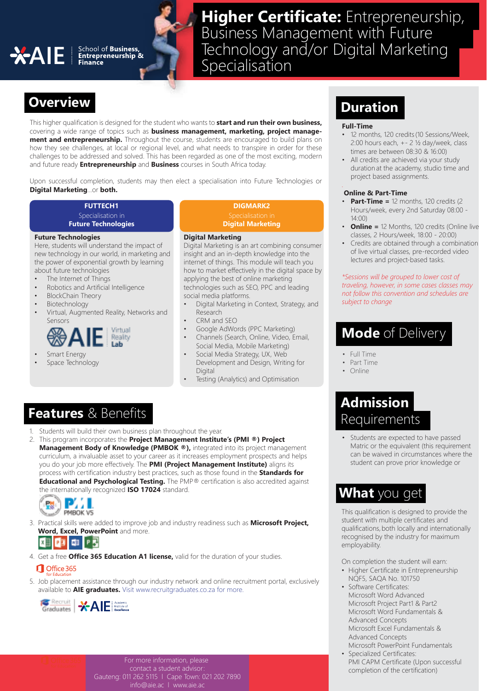# **Higher Certificate:** Entrepreneurship, Business Management with Future **AIE** School of Business,<br>
Specialisation Specialisation

# **Overview Duration**

This higher qualification is designed for the student who wants to **start and run their own business,**  covering a wide range of topics such as **business management, marketing, project management and entrepreneurship.** Throughout the course, students are encouraged to build plans on how they see challenges, at local or regional level, and what needs to transpire in order for these challenges to be addressed and solved. This has been regarded as one of the most exciting, modern and future ready **Entrepreneurship** and **Business** courses in South Africa today.

Upon successful completion, students may then elect a specialisation into Future Technologies or **Digital Marketing**...or **both.**

### Specialisation in **FUTTECH1**

**Future Technologies**

### **Future Technologies**

Here, students will understand the impact of new technology in our world, in marketing and the power of exponential growth by learning about future technologies

- The Internet of Things
- Robotics and Artificial Intelligence
- BlockChain Theory
- **Biotechnology**
- Virtual, Augmented Reality, Networks and Sensors



- Smart Energy
- Space Technology

# **DIGMARK2**

Specialisation in **Digital Marketing**

### **Digital Marketing**

Digital Marketing is an art combining consumer insight and an in-depth knowledge into the internet of things. This module will teach you how to market effectively in the digital space by applying the best of online marketing technologies such as SEO, PPC and leading social media platforms.

- Digital Marketing in Context, Strategy, and Research
- CRM and SEO
- Google AdWords (PPC Marketing)
- Channels (Search, Online, Video, Email, Social Media, Mobile Marketing)
- Social Media Strategy, UX, Web Development and Design, Writing for Digital
- Testing (Analytics) and Optimisation

## **Features** & Benefits

- Students will build their own business plan throughout the year.
- 2. This program incorporates the **Project Management Institute's (PMI ®) Project Management Body of Knowledge (PMBOK ®)**, integrated into its project management curriculum, a invaluable asset to your career as it increases employment prospects and helps you do your job more effectively. The **PMI (Project Management Institute)** aligns its process with certification industry best practices, such as those found in the **Standards for Educational and Psychological Testing.** The PMP® certification is also accredited against the internationally recognized **ISO 17024** standard.



3. Practical skills were added to improve job and industry readiness such as **Microsoft Project, Word, Excel, PowerPoint** and more.



4. Get a free **Office 365 Education A1 license,** valid for the duration of your studies.

### Office 365

5. Job placement assistance through our industry network and online recruitment portal, exclusively available to **AIE graduates.** Visit www.recruitgraduates.co.za for more.



For more information, please

Gauteng: 011 262 5115 l Cape Town: 021 202 7890 info@aie.ac l www.aie.ac

### **Full-Time**

- 12 months, 120 credits (10 Sessions/Week, 2:00 hours each, +- 2 ½ day/week, class times are between 08:30 & 16:00)
- All credits are achieved via your study duration at the academy, studio time and project based assignments.

### **Online & Part-Time**

- **Part-Time =** 12 months, 120 credits (2 Hours/week, every 2nd Saturday 08:00 - 14:00)
- **Online =** 12 Months, 120 credits (Online live classes, 2 Hours/week, 18:00 - 20:00)
- Credits are obtained through a combination of live virtual classes, pre-recorded video lectures and project-based tasks.

*\*Sessions will be grouped to lower cost of traveling, however, in some cases classes may not follow this convention and schedules are subject to change*

## **Mode** of Delivery

- Full Time
- Part Time
- Online

## **Admission Requirements**

• Students are expected to have passed Matric or the equivalent (this requirement can be waived in circumstances where the student can prove prior knowledge or

## **What** you get

This qualification is designed to provide the student with multiple certificates and qualifications, both locally and internationally recognised by the industry for maximum employability. 

On completion the student will earn: 

- Higher Certificate in Entrepreneurship NQF5, SAQA No. 101750
- Software Certificates: Microsoft Word Advanced Microsoft Project Part1 & Part2 Microsoft Word Fundamentals & Advanced Concepts Microsoft Excel Fundamentals & Advanced Concepts Microsoft PowerPoint Fundamentals
- Specialized Certificates: PMI CAPM Certificate (Upon successful completion of the certification)